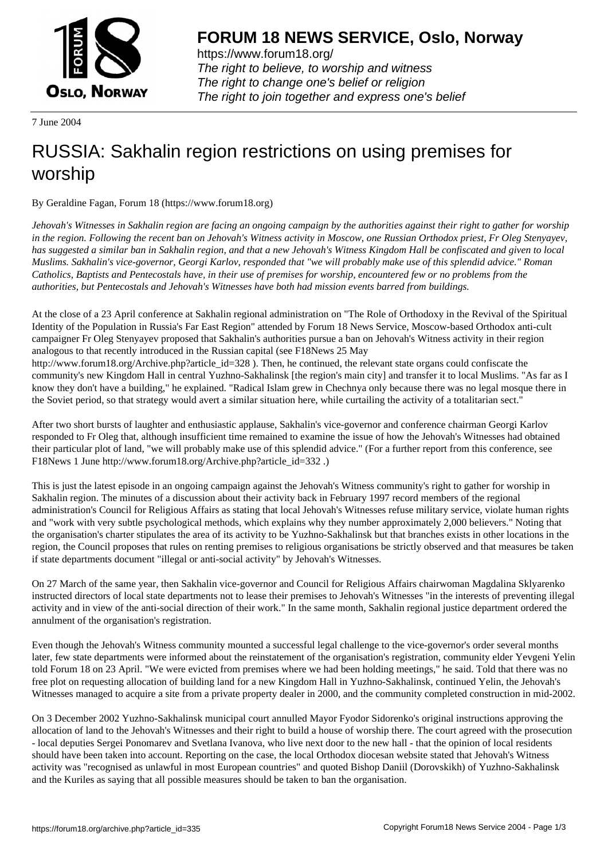

https://www.forum18.org/ The right to believe, to worship and witness The right to change one's belief or religion [The right to join together a](https://www.forum18.org/)nd express one's belief

7 June 2004

## [RUSSIA: Sakha](https://www.forum18.org)lin region restrictions on using premises for worship

By Geraldine Fagan, Forum 18 (https://www.forum18.org)

*Jehovah's Witnesses in Sakhalin region are facing an ongoing campaign by the authorities against their right to gather for worship in the region. Following the recent ban on Jehovah's Witness activity in Moscow, one Russian Orthodox priest, Fr Oleg Stenyayev, has suggested a similar ban in Sakhalin region, and that a new Jehovah's Witness Kingdom Hall be confiscated and given to local Muslims. Sakhalin's vice-governor, Georgi Karlov, responded that "we will probably make use of this splendid advice." Roman Catholics, Baptists and Pentecostals have, in their use of premises for worship, encountered few or no problems from the authorities, but Pentecostals and Jehovah's Witnesses have both had mission events barred from buildings.*

At the close of a 23 April conference at Sakhalin regional administration on "The Role of Orthodoxy in the Revival of the Spiritual Identity of the Population in Russia's Far East Region" attended by Forum 18 News Service, Moscow-based Orthodox anti-cult campaigner Fr Oleg Stenyayev proposed that Sakhalin's authorities pursue a ban on Jehovah's Witness activity in their region analogous to that recently introduced in the Russian capital (see F18News 25 May http://www.forum18.org/Archive.php?article\_id=328 ). Then, he continued, the relevant state organs could confiscate the

community's new Kingdom Hall in central Yuzhno-Sakhalinsk [the region's main city] and transfer it to local Muslims. "As far as I know they don't have a building," he explained. "Radical Islam grew in Chechnya only because there was no legal mosque there in the Soviet period, so that strategy would avert a similar situation here, while curtailing the activity of a totalitarian sect."

After two short bursts of laughter and enthusiastic applause, Sakhalin's vice-governor and conference chairman Georgi Karlov responded to Fr Oleg that, although insufficient time remained to examine the issue of how the Jehovah's Witnesses had obtained their particular plot of land, "we will probably make use of this splendid advice." (For a further report from this conference, see F18News 1 June http://www.forum18.org/Archive.php?article\_id=332 .)

This is just the latest episode in an ongoing campaign against the Jehovah's Witness community's right to gather for worship in Sakhalin region. The minutes of a discussion about their activity back in February 1997 record members of the regional administration's Council for Religious Affairs as stating that local Jehovah's Witnesses refuse military service, violate human rights and "work with very subtle psychological methods, which explains why they number approximately 2,000 believers." Noting that the organisation's charter stipulates the area of its activity to be Yuzhno-Sakhalinsk but that branches exists in other locations in the region, the Council proposes that rules on renting premises to religious organisations be strictly observed and that measures be taken if state departments document "illegal or anti-social activity" by Jehovah's Witnesses.

On 27 March of the same year, then Sakhalin vice-governor and Council for Religious Affairs chairwoman Magdalina Sklyarenko instructed directors of local state departments not to lease their premises to Jehovah's Witnesses "in the interests of preventing illegal activity and in view of the anti-social direction of their work." In the same month, Sakhalin regional justice department ordered the annulment of the organisation's registration.

Even though the Jehovah's Witness community mounted a successful legal challenge to the vice-governor's order several months later, few state departments were informed about the reinstatement of the organisation's registration, community elder Yevgeni Yelin told Forum 18 on 23 April. "We were evicted from premises where we had been holding meetings," he said. Told that there was no free plot on requesting allocation of building land for a new Kingdom Hall in Yuzhno-Sakhalinsk, continued Yelin, the Jehovah's Witnesses managed to acquire a site from a private property dealer in 2000, and the community completed construction in mid-2002.

On 3 December 2002 Yuzhno-Sakhalinsk municipal court annulled Mayor Fyodor Sidorenko's original instructions approving the allocation of land to the Jehovah's Witnesses and their right to build a house of worship there. The court agreed with the prosecution - local deputies Sergei Ponomarev and Svetlana Ivanova, who live next door to the new hall - that the opinion of local residents should have been taken into account. Reporting on the case, the local Orthodox diocesan website stated that Jehovah's Witness activity was "recognised as unlawful in most European countries" and quoted Bishop Daniil (Dorovskikh) of Yuzhno-Sakhalinsk and the Kuriles as saying that all possible measures should be taken to ban the organisation.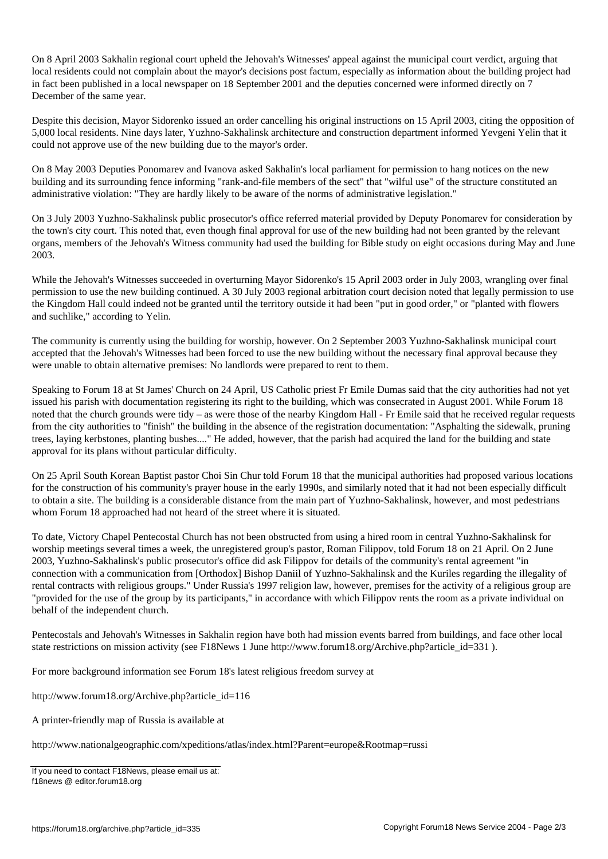On 8 April 2003 Sakhalin regional court upheld the Jehovah's Witnesses' appeal against the municipal court verdict, arguing that local residents could not complain about the mayor's decisions post factum, especially as information about the building project had in fact been published in a local newspaper on 18 September 2001 and the deputies concerned were informed directly on 7 December of the same year.

Despite this decision, Mayor Sidorenko issued an order cancelling his original instructions on 15 April 2003, citing the opposition of 5,000 local residents. Nine days later, Yuzhno-Sakhalinsk architecture and construction department informed Yevgeni Yelin that it could not approve use of the new building due to the mayor's order.

On 8 May 2003 Deputies Ponomarev and Ivanova asked Sakhalin's local parliament for permission to hang notices on the new building and its surrounding fence informing "rank-and-file members of the sect" that "wilful use" of the structure constituted an administrative violation: "They are hardly likely to be aware of the norms of administrative legislation."

On 3 July 2003 Yuzhno-Sakhalinsk public prosecutor's office referred material provided by Deputy Ponomarev for consideration by the town's city court. This noted that, even though final approval for use of the new building had not been granted by the relevant organs, members of the Jehovah's Witness community had used the building for Bible study on eight occasions during May and June 2003.

While the Jehovah's Witnesses succeeded in overturning Mayor Sidorenko's 15 April 2003 order in July 2003, wrangling over final permission to use the new building continued. A 30 July 2003 regional arbitration court decision noted that legally permission to use the Kingdom Hall could indeed not be granted until the territory outside it had been "put in good order," or "planted with flowers and suchlike," according to Yelin.

The community is currently using the building for worship, however. On 2 September 2003 Yuzhno-Sakhalinsk municipal court accepted that the Jehovah's Witnesses had been forced to use the new building without the necessary final approval because they were unable to obtain alternative premises: No landlords were prepared to rent to them.

Speaking to Forum 18 at St James' Church on 24 April, US Catholic priest Fr Emile Dumas said that the city authorities had not yet issued his parish with documentation registering its right to the building, which was consecrated in August 2001. While Forum 18 noted that the church grounds were tidy – as were those of the nearby Kingdom Hall - Fr Emile said that he received regular requests from the city authorities to "finish" the building in the absence of the registration documentation: "Asphalting the sidewalk, pruning trees, laying kerbstones, planting bushes...." He added, however, that the parish had acquired the land for the building and state approval for its plans without particular difficulty.

On 25 April South Korean Baptist pastor Choi Sin Chur told Forum 18 that the municipal authorities had proposed various locations for the construction of his community's prayer house in the early 1990s, and similarly noted that it had not been especially difficult to obtain a site. The building is a considerable distance from the main part of Yuzhno-Sakhalinsk, however, and most pedestrians whom Forum 18 approached had not heard of the street where it is situated.

To date, Victory Chapel Pentecostal Church has not been obstructed from using a hired room in central Yuzhno-Sakhalinsk for worship meetings several times a week, the unregistered group's pastor, Roman Filippov, told Forum 18 on 21 April. On 2 June 2003, Yuzhno-Sakhalinsk's public prosecutor's office did ask Filippov for details of the community's rental agreement "in connection with a communication from [Orthodox] Bishop Daniil of Yuzhno-Sakhalinsk and the Kuriles regarding the illegality of rental contracts with religious groups." Under Russia's 1997 religion law, however, premises for the activity of a religious group are "provided for the use of the group by its participants," in accordance with which Filippov rents the room as a private individual on behalf of the independent church.

Pentecostals and Jehovah's Witnesses in Sakhalin region have both had mission events barred from buildings, and face other local state restrictions on mission activity (see F18News 1 June http://www.forum18.org/Archive.php?article\_id=331).

For more background information see Forum 18's latest religious freedom survey at

http://www.forum18.org/Archive.php?article\_id=116

A printer-friendly map of Russia is available at

http://www.nationalgeographic.com/xpeditions/atlas/index.html?Parent=europe&Rootmap=russi

If you need to contact F18News, please email us at: f18news @ editor.forum18.org